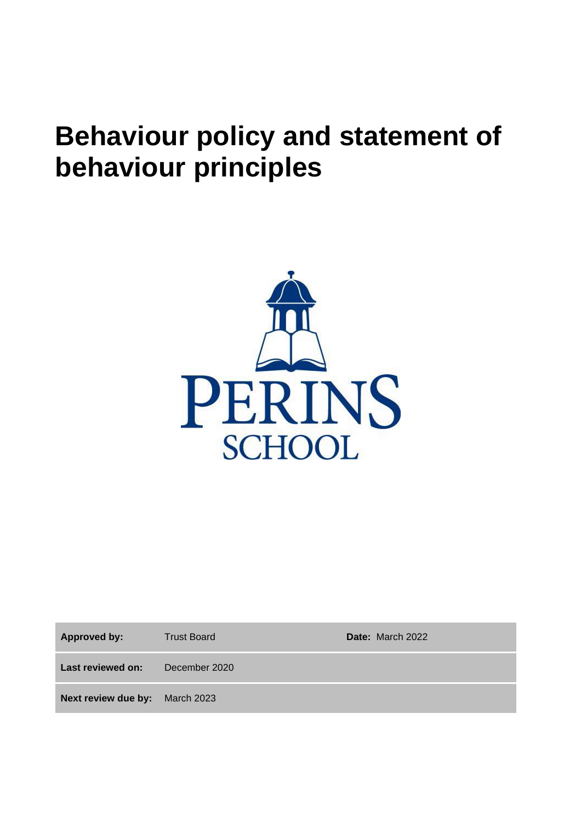# **Behaviour policy and statement of behaviour principles**



**Approved by:** Trust Board **Date:** March 2022

**Last reviewed on:** December 2020

**Next review due by:** March 2023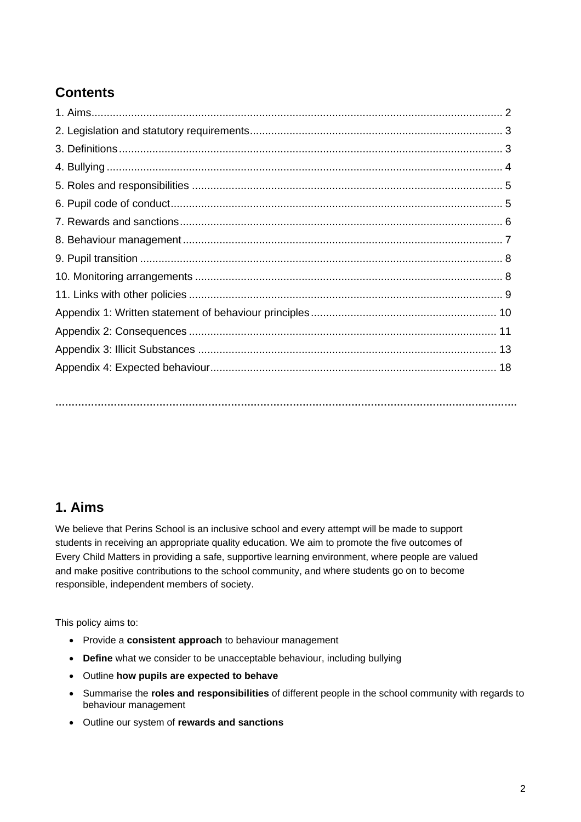# **Contents**

**…………………………………………………………………………………………………………………………….**

# **1. Aims**

We believe that Perins School is an inclusive school and every attempt will be made to support students in receiving an appropriate quality education. We aim to promote the five outcomes of Every Child Matters in providing a safe, supportive learning environment, where people are valued and make positive contributions to the school community, and where students go on to become responsible, independent members of society.

This policy aims to:

- Provide a **consistent approach** to behaviour management
- **Define** what we consider to be unacceptable behaviour, including bullying
- Outline **how pupils are expected to behave**
- Summarise the **roles and responsibilities** of different people in the school community with regards to behaviour management
- Outline our system of **rewards and sanctions**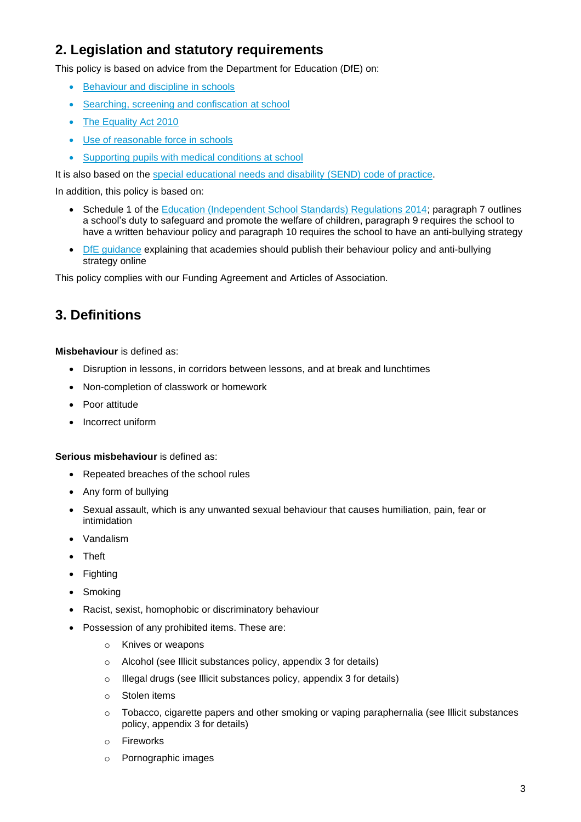# **2. Legislation and statutory requirements**

This policy is based on advice from the Department for Education (DfE) on:

- [Behaviour and discipline in schools](https://www.gov.uk/government/publications/behaviour-and-discipline-in-schools)
- [Searching, screening and confiscation at school](https://www.gov.uk/government/publications/searching-screening-and-confiscation)
- [The Equality Act 2010](https://www.gov.uk/government/publications/equality-act-2010-advice-for-schools)
- [Use of reasonable force in schools](https://www.gov.uk/government/publications/use-of-reasonable-force-in-schools)
- [Supporting pupils with medical conditions at school](https://www.gov.uk/government/publications/supporting-pupils-at-school-with-medical-conditions--3)

It is also based on the [special educational needs and disability \(SEND\) code of practice.](https://www.gov.uk/government/publications/send-code-of-practice-0-to-25)

In addition, this policy is based on:

- Schedule 1 of the [Education \(Independent School Standards\) Regulations 2014;](http://www.legislation.gov.uk/uksi/2014/3283/schedule/made) paragraph 7 outlines a school's duty to safeguard and promote the welfare of children, paragraph 9 requires the school to have a written behaviour policy and paragraph 10 requires the school to have an anti-bullying strategy
- [DfE guidance](https://www.gov.uk/guidance/what-academies-free-schools-and-colleges-should-publish-online) explaining that academies should publish their behaviour policy and anti-bullying strategy online

This policy complies with our Funding Agreement and Articles of Association.

# **3. Definitions**

**Misbehaviour** is defined as:

- Disruption in lessons, in corridors between lessons, and at break and lunchtimes
- Non-completion of classwork or homework
- Poor attitude
- Incorrect uniform

**Serious misbehaviour** is defined as:

- Repeated breaches of the school rules
- Any form of bullying
- Sexual assault, which is any unwanted sexual behaviour that causes humiliation, pain, fear or intimidation
- Vandalism
- Theft
- Fighting
- Smoking
- Racist, sexist, homophobic or discriminatory behaviour
- Possession of any prohibited items. These are:
	- o Knives or weapons
	- o Alcohol (see Illicit substances policy, appendix 3 for details)
	- o Illegal drugs (see Illicit substances policy, appendix 3 for details)
	- o Stolen items
	- $\circ$  Tobacco, cigarette papers and other smoking or vaping paraphernalia (see Illicit substances policy, appendix 3 for details)
	- o Fireworks
	- o Pornographic images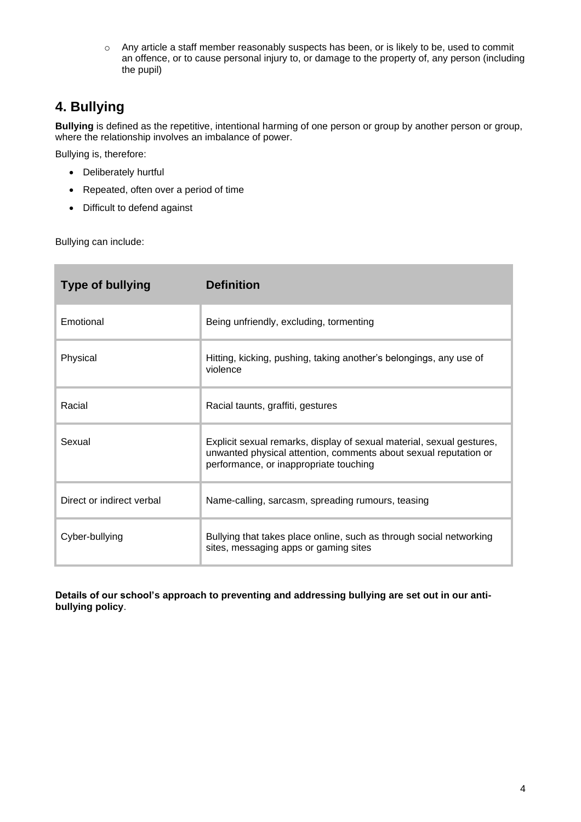o Any article a staff member reasonably suspects has been, or is likely to be, used to commit an offence, or to cause personal injury to, or damage to the property of, any person (including the pupil)

# **4. Bullying**

**Bullying** is defined as the repetitive, intentional harming of one person or group by another person or group, where the relationship involves an imbalance of power.

Bullying is, therefore:

- Deliberately hurtful
- Repeated, often over a period of time
- Difficult to defend against

Bullying can include:

| <b>Type of bullying</b>   | <b>Definition</b>                                                                                                                                                                   |
|---------------------------|-------------------------------------------------------------------------------------------------------------------------------------------------------------------------------------|
| Emotional                 | Being unfriendly, excluding, tormenting                                                                                                                                             |
| Physical                  | Hitting, kicking, pushing, taking another's belongings, any use of<br>violence                                                                                                      |
| Racial                    | Racial taunts, graffiti, gestures                                                                                                                                                   |
| Sexual                    | Explicit sexual remarks, display of sexual material, sexual gestures,<br>unwanted physical attention, comments about sexual reputation or<br>performance, or inappropriate touching |
| Direct or indirect verbal | Name-calling, sarcasm, spreading rumours, teasing                                                                                                                                   |
| Cyber-bullying            | Bullying that takes place online, such as through social networking<br>sites, messaging apps or gaming sites                                                                        |

**Details of our school's approach to preventing and addressing bullying are set out in our antibullying policy**.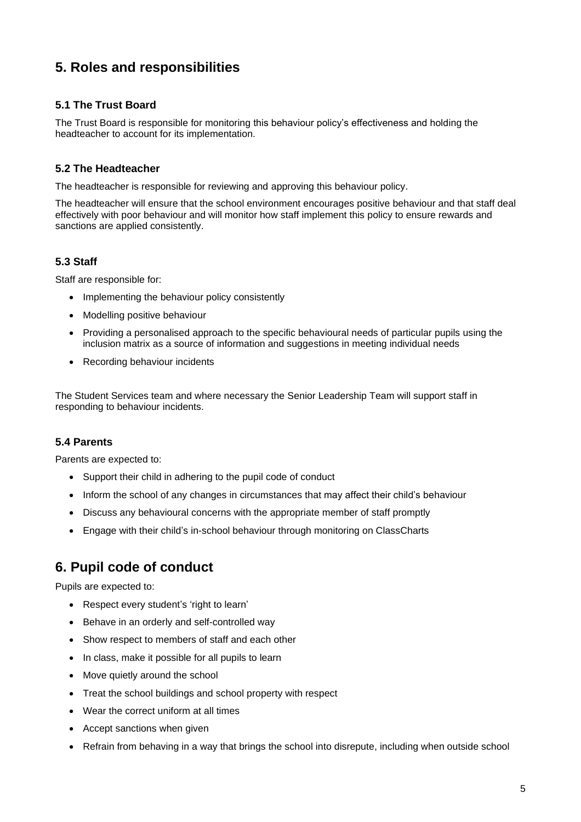# **5. Roles and responsibilities**

### **5.1 The Trust Board**

The Trust Board is responsible for monitoring this behaviour policy's effectiveness and holding the headteacher to account for its implementation.

#### **5.2 The Headteacher**

The headteacher is responsible for reviewing and approving this behaviour policy.

The headteacher will ensure that the school environment encourages positive behaviour and that staff deal effectively with poor behaviour and will monitor how staff implement this policy to ensure rewards and sanctions are applied consistently.

### **5.3 Staff**

Staff are responsible for:

- Implementing the behaviour policy consistently
- Modelling positive behaviour
- Providing a personalised approach to the specific behavioural needs of particular pupils using the inclusion matrix as a source of information and suggestions in meeting individual needs
- Recording behaviour incidents

The Student Services team and where necessary the Senior Leadership Team will support staff in responding to behaviour incidents.

### **5.4 Parents**

Parents are expected to:

- Support their child in adhering to the pupil code of conduct
- Inform the school of any changes in circumstances that may affect their child's behaviour
- Discuss any behavioural concerns with the appropriate member of staff promptly
- Engage with their child's in-school behaviour through monitoring on ClassCharts

# **6. Pupil code of conduct**

Pupils are expected to:

- Respect every student's 'right to learn'
- Behave in an orderly and self-controlled way
- Show respect to members of staff and each other
- In class, make it possible for all pupils to learn
- Move quietly around the school
- Treat the school buildings and school property with respect
- Wear the correct uniform at all times
- Accept sanctions when given
- Refrain from behaving in a way that brings the school into disrepute, including when outside school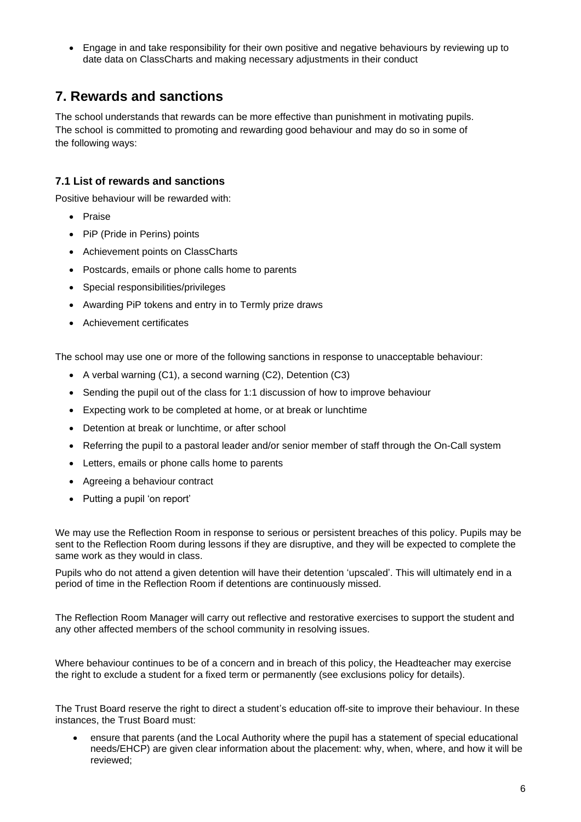• Engage in and take responsibility for their own positive and negative behaviours by reviewing up to date data on ClassCharts and making necessary adjustments in their conduct

# **7. Rewards and sanctions**

The school understands that rewards can be more effective than punishment in motivating pupils. The school is committed to promoting and rewarding good behaviour and may do so in some of the following ways:

### **7.1 List of rewards and sanctions**

Positive behaviour will be rewarded with:

- Praise
- PiP (Pride in Perins) points
- Achievement points on ClassCharts
- Postcards, emails or phone calls home to parents
- Special responsibilities/privileges
- Awarding PiP tokens and entry in to Termly prize draws
- Achievement certificates

The school may use one or more of the following sanctions in response to unacceptable behaviour:

- A verbal warning (C1), a second warning (C2), Detention (C3)
- Sending the pupil out of the class for 1:1 discussion of how to improve behaviour
- Expecting work to be completed at home, or at break or lunchtime
- Detention at break or lunchtime, or after school
- Referring the pupil to a pastoral leader and/or senior member of staff through the On-Call system
- Letters, emails or phone calls home to parents
- Agreeing a behaviour contract
- Putting a pupil 'on report'

We may use the Reflection Room in response to serious or persistent breaches of this policy. Pupils may be sent to the Reflection Room during lessons if they are disruptive, and they will be expected to complete the same work as they would in class.

Pupils who do not attend a given detention will have their detention 'upscaled'. This will ultimately end in a period of time in the Reflection Room if detentions are continuously missed.

The Reflection Room Manager will carry out reflective and restorative exercises to support the student and any other affected members of the school community in resolving issues.

Where behaviour continues to be of a concern and in breach of this policy, the Headteacher may exercise the right to exclude a student for a fixed term or permanently (see exclusions policy for details).

The Trust Board reserve the right to direct a student's education off-site to improve their behaviour. In these instances, the Trust Board must:

• ensure that parents (and the Local Authority where the pupil has a statement of special educational needs/EHCP) are given clear information about the placement: why, when, where, and how it will be reviewed;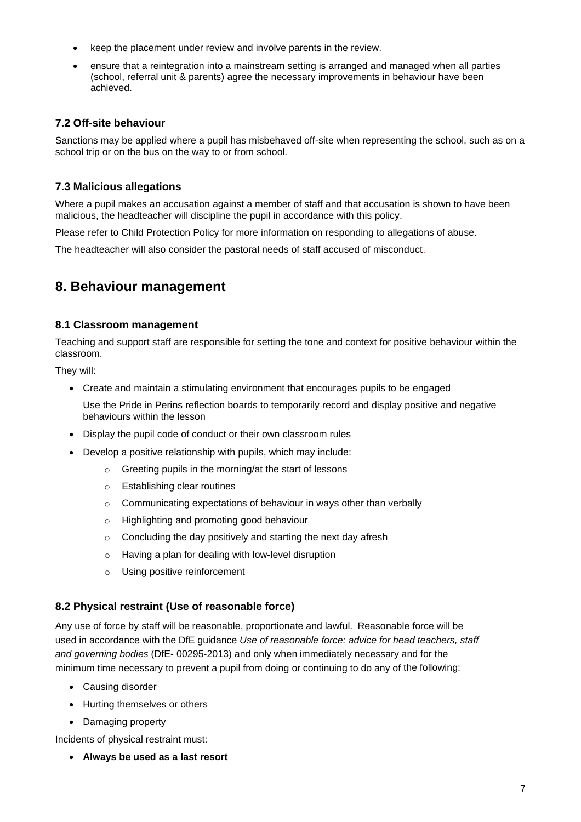- keep the placement under review and involve parents in the review.
- ensure that a reintegration into a mainstream setting is arranged and managed when all parties (school, referral unit & parents) agree the necessary improvements in behaviour have been achieved.

#### **7.2 Off-site behaviour**

Sanctions may be applied where a pupil has misbehaved off-site when representing the school, such as on a school trip or on the bus on the way to or from school.

#### **7.3 Malicious allegations**

Where a pupil makes an accusation against a member of staff and that accusation is shown to have been malicious, the headteacher will discipline the pupil in accordance with this policy.

Please refer to Child Protection Policy for more information on responding to allegations of abuse.

The headteacher will also consider the pastoral needs of staff accused of misconduct.

# **8. Behaviour management**

#### **8.1 Classroom management**

Teaching and support staff are responsible for setting the tone and context for positive behaviour within the classroom.

They will:

• Create and maintain a stimulating environment that encourages pupils to be engaged

Use the Pride in Perins reflection boards to temporarily record and display positive and negative behaviours within the lesson

- Display the pupil code of conduct or their own classroom rules
- Develop a positive relationship with pupils, which may include:
	- o Greeting pupils in the morning/at the start of lessons
	- o Establishing clear routines
	- o Communicating expectations of behaviour in ways other than verbally
	- o Highlighting and promoting good behaviour
	- o Concluding the day positively and starting the next day afresh
	- o Having a plan for dealing with low-level disruption
	- o Using positive reinforcement

#### **8.2 Physical restraint (Use of reasonable force)**

Any use of force by staff will be reasonable, proportionate and lawful. Reasonable force will be used in accordance with the DfE guidance *Use of reasonable force: advice for head teachers, staff and governing bodies* (DfE- 00295-2013) and only when immediately necessary and for the minimum time necessary to prevent a pupil from doing or continuing to do any of the following:

- Causing disorder
- Hurting themselves or others
- Damaging property

Incidents of physical restraint must:

• **Always be used as a last resort**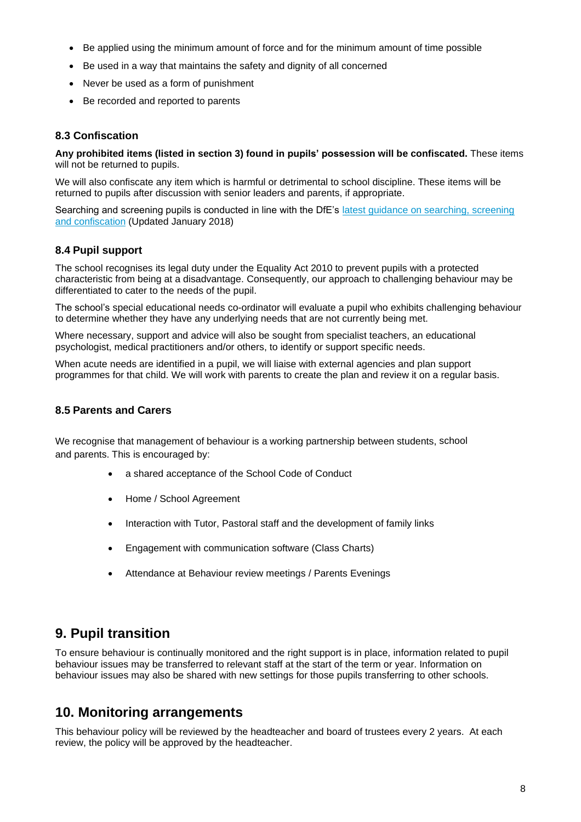- Be applied using the minimum amount of force and for the minimum amount of time possible
- Be used in a way that maintains the safety and dignity of all concerned
- Never be used as a form of punishment
- Be recorded and reported to parents

### **8.3 Confiscation**

**Any prohibited items (listed in section 3) found in pupils' possession will be confiscated.** These items will not be returned to pupils.

We will also confiscate any item which is harmful or detrimental to school discipline. These items will be returned to pupils after discussion with senior leaders and parents, if appropriate.

Searching and screening pupils is conducted in line with the DfE's latest guidance on searching, screening [and confiscation](https://www.gov.uk/government/publications/searching-screening-and-confiscation) (Updated January 2018)

### **8.4 Pupil support**

The school recognises its legal duty under the Equality Act 2010 to prevent pupils with a protected characteristic from being at a disadvantage. Consequently, our approach to challenging behaviour may be differentiated to cater to the needs of the pupil.

The school's special educational needs co-ordinator will evaluate a pupil who exhibits challenging behaviour to determine whether they have any underlying needs that are not currently being met.

Where necessary, support and advice will also be sought from specialist teachers, an educational psychologist, medical practitioners and/or others, to identify or support specific needs.

When acute needs are identified in a pupil, we will liaise with external agencies and plan support programmes for that child. We will work with parents to create the plan and review it on a regular basis.

### **8.5 Parents and Carers**

We recognise that management of behaviour is a working partnership between students, school and parents. This is encouraged by:

- a shared acceptance of the School Code of Conduct
- Home / School Agreement
- Interaction with Tutor, Pastoral staff and the development of family links
- Engagement with communication software (Class Charts)
- Attendance at Behaviour review meetings / Parents Evenings

# **9. Pupil transition**

To ensure behaviour is continually monitored and the right support is in place, information related to pupil behaviour issues may be transferred to relevant staff at the start of the term or year. Information on behaviour issues may also be shared with new settings for those pupils transferring to other schools.

# **10. Monitoring arrangements**

This behaviour policy will be reviewed by the headteacher and board of trustees every 2 years. At each review, the policy will be approved by the headteacher.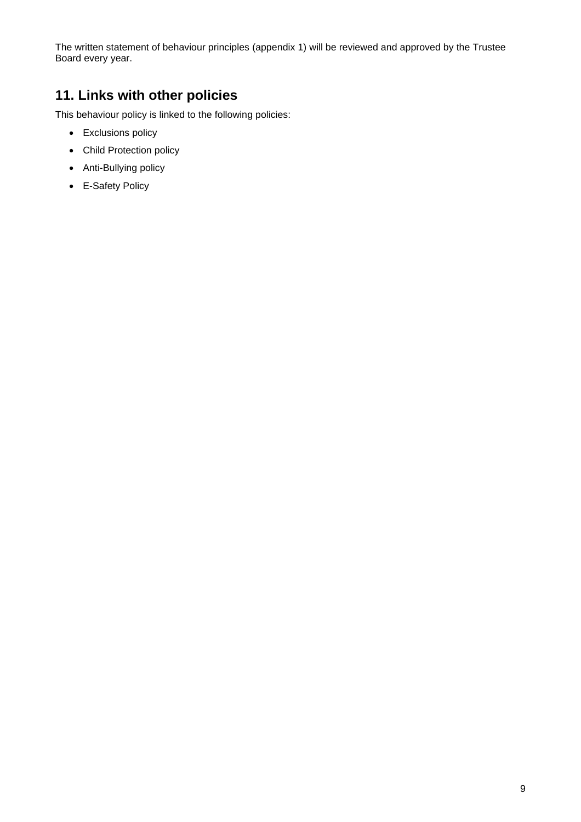The written statement of behaviour principles (appendix 1) will be reviewed and approved by the Trustee Board every year.

# **11. Links with other policies**

This behaviour policy is linked to the following policies:

- Exclusions policy
- Child Protection policy
- Anti-Bullying policy
- E-Safety Policy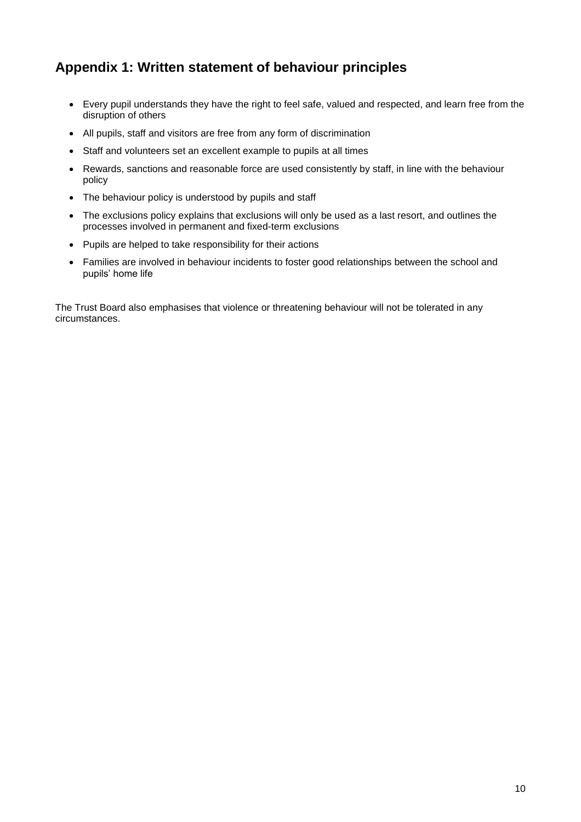# **Appendix 1: Written statement of behaviour principles**

- Every pupil understands they have the right to feel safe, valued and respected, and learn free from the disruption of others
- All pupils, staff and visitors are free from any form of discrimination
- Staff and volunteers set an excellent example to pupils at all times
- Rewards, sanctions and reasonable force are used consistently by staff, in line with the behaviour policy
- The behaviour policy is understood by pupils and staff
- The exclusions policy explains that exclusions will only be used as a last resort, and outlines the processes involved in permanent and fixed-term exclusions
- Pupils are helped to take responsibility for their actions
- Families are involved in behaviour incidents to foster good relationships between the school and pupils' home life

The Trust Board also emphasises that violence or threatening behaviour will not be tolerated in any circumstances.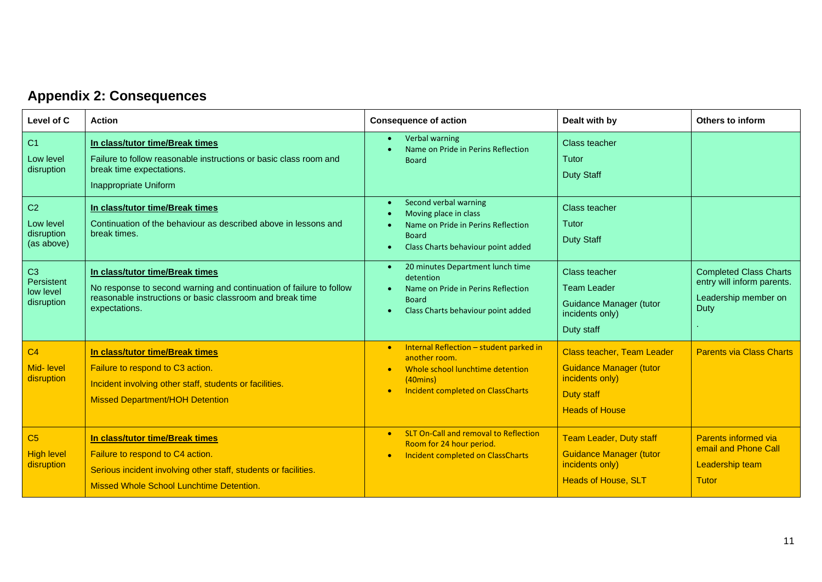# **Appendix 2: Consequences**

| Level of C                                              | <b>Action</b>                                                                                                                                                                             | <b>Consequence of action</b>                                                                                                                                                             | Dealt with by                                                                                                                        | Others to inform                                                                            |
|---------------------------------------------------------|-------------------------------------------------------------------------------------------------------------------------------------------------------------------------------------------|------------------------------------------------------------------------------------------------------------------------------------------------------------------------------------------|--------------------------------------------------------------------------------------------------------------------------------------|---------------------------------------------------------------------------------------------|
| C1<br>Low level<br>disruption                           | In class/tutor time/Break times<br>Failure to follow reasonable instructions or basic class room and<br>break time expectations.<br>Inappropriate Uniform                                 | Verbal warning<br>Name on Pride in Perins Reflection<br><b>Board</b>                                                                                                                     | Class teacher<br>Tutor<br><b>Duty Staff</b>                                                                                          |                                                                                             |
| C <sub>2</sub><br>Low level<br>disruption<br>(as above) | In class/tutor time/Break times<br>Continuation of the behaviour as described above in lessons and<br>break times.                                                                        | Second verbal warning<br>$\bullet$<br>Moving place in class<br>Name on Pride in Perins Reflection<br><b>Board</b><br>Class Charts behaviour point added                                  | <b>Class teacher</b><br>Tutor<br><b>Duty Staff</b>                                                                                   |                                                                                             |
| C <sub>3</sub><br>Persistent<br>low level<br>disruption | In class/tutor time/Break times<br>No response to second warning and continuation of failure to follow<br>reasonable instructions or basic classroom and break time<br>expectations.      | 20 minutes Department lunch time<br>$\bullet$<br>detention<br>Name on Pride in Perins Reflection<br><b>Board</b><br>Class Charts behaviour point added                                   | Class teacher<br><b>Team Leader</b><br><b>Guidance Manager (tutor</b><br>incidents only)<br>Duty staff                               | <b>Completed Class Charts</b><br>entry will inform parents.<br>Leadership member on<br>Duty |
| C <sub>4</sub><br>Mid- level<br>disruption              | In class/tutor time/Break times<br>Failure to respond to C3 action.<br>Incident involving other staff, students or facilities.<br><b>Missed Department/HOH Detention</b>                  | Internal Reflection - student parked in<br>$\bullet$<br>another room.<br>Whole school lunchtime detention<br>$(40 \text{mins})$<br><b>Incident completed on ClassCharts</b><br>$\bullet$ | <b>Class teacher, Team Leader</b><br><b>Guidance Manager (tutor</b><br>incidents only)<br><b>Duty staff</b><br><b>Heads of House</b> | <b>Parents via Class Charts</b>                                                             |
| C <sub>5</sub><br><b>High level</b><br>disruption       | In class/tutor time/Break times<br>Failure to respond to C4 action.<br>Serious incident involving other staff, students or facilities.<br><b>Missed Whole School Lunchtime Detention.</b> | <b>SLT On-Call and removal to Reflection</b><br>$\bullet$<br>Room for 24 hour period.<br><b>Incident completed on ClassCharts</b><br>$\bullet$                                           | <b>Team Leader, Duty staff</b><br>Guidance Manager (tutor<br>incidents only)<br><b>Heads of House, SLT</b>                           | Parents informed via<br>email and Phone Call<br>Leadership team<br><b>Tutor</b>             |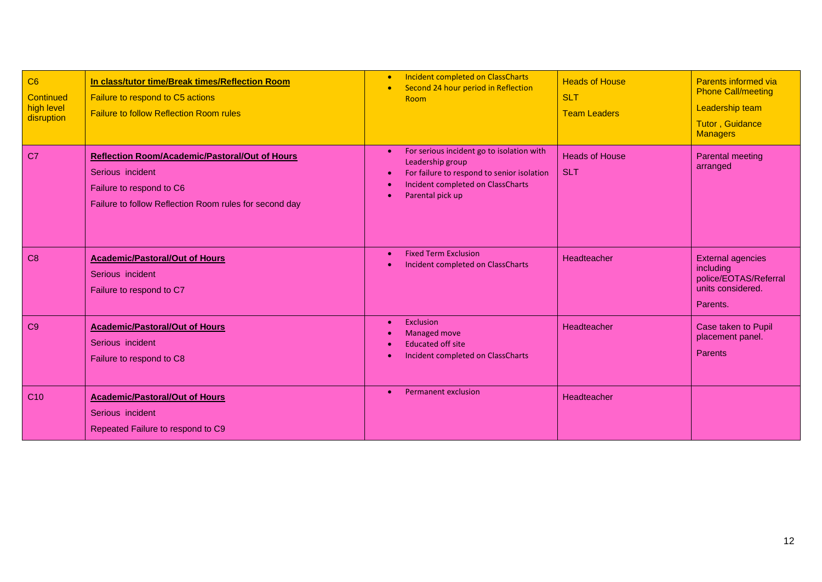| C6<br>Continued<br>high level<br>disruption | In class/tutor time/Break times/Reflection Room<br>Failure to respond to C5 actions<br><b>Failure to follow Reflection Room rules</b>                           | <b>Incident completed on ClassCharts</b><br>$\bullet$<br>Second 24 hour period in Reflection<br>$\bullet$<br>Room                                                                                           | <b>Heads of House</b><br><b>SLT</b><br><b>Team Leaders</b> | Parents informed via<br><b>Phone Call/meeting</b><br>Leadership team<br><b>Tutor, Guidance</b><br><b>Managers</b> |
|---------------------------------------------|-----------------------------------------------------------------------------------------------------------------------------------------------------------------|-------------------------------------------------------------------------------------------------------------------------------------------------------------------------------------------------------------|------------------------------------------------------------|-------------------------------------------------------------------------------------------------------------------|
| C <sub>7</sub>                              | <b>Reflection Room/Academic/Pastoral/Out of Hours</b><br>Serious incident<br>Failure to respond to C6<br>Failure to follow Reflection Room rules for second day | For serious incident go to isolation with<br>$\bullet$<br>Leadership group<br>For failure to respond to senior isolation<br>$\bullet$<br>Incident completed on ClassCharts<br>Parental pick up<br>$\bullet$ | <b>Heads of House</b><br><b>SLT</b>                        | Parental meeting<br>arranged                                                                                      |
| C8                                          | <b>Academic/Pastoral/Out of Hours</b><br>Serious incident<br>Failure to respond to C7                                                                           | <b>Fixed Term Exclusion</b><br>$\bullet$<br>Incident completed on ClassCharts                                                                                                                               | Headteacher                                                | <b>External agencies</b><br>including<br>police/EOTAS/Referral<br>units considered.<br>Parents.                   |
| C <sub>9</sub>                              | <b>Academic/Pastoral/Out of Hours</b><br>Serious incident<br>Failure to respond to C8                                                                           | Exclusion<br>$\bullet$<br><b>Managed move</b><br><b>Educated off site</b><br>Incident completed on ClassCharts<br>$\bullet$                                                                                 | Headteacher                                                | Case taken to Pupil<br>placement panel.<br>Parents                                                                |
| C <sub>10</sub>                             | <b>Academic/Pastoral/Out of Hours</b><br>Serious incident<br>Repeated Failure to respond to C9                                                                  | <b>Permanent exclusion</b><br>$\bullet$                                                                                                                                                                     | Headteacher                                                |                                                                                                                   |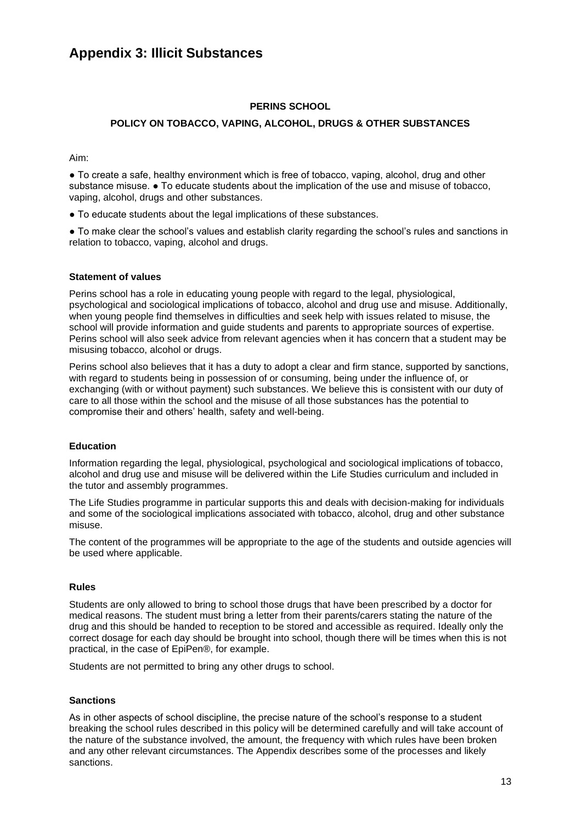# **Appendix 3: Illicit Substances**

#### **PERINS SCHOOL**

#### **POLICY ON TOBACCO, VAPING, ALCOHOL, DRUGS & OTHER SUBSTANCES**

Aim:

● To create a safe, healthy environment which is free of tobacco, vaping, alcohol, drug and other substance misuse.  $\bullet$  To educate students about the implication of the use and misuse of tobacco, vaping, alcohol, drugs and other substances.

- To educate students about the legal implications of these substances.
- To make clear the school's values and establish clarity regarding the school's rules and sanctions in relation to tobacco, vaping, alcohol and drugs.

#### **Statement of values**

Perins school has a role in educating young people with regard to the legal, physiological, psychological and sociological implications of tobacco, alcohol and drug use and misuse. Additionally, when young people find themselves in difficulties and seek help with issues related to misuse, the school will provide information and guide students and parents to appropriate sources of expertise. Perins school will also seek advice from relevant agencies when it has concern that a student may be misusing tobacco, alcohol or drugs.

Perins school also believes that it has a duty to adopt a clear and firm stance, supported by sanctions, with regard to students being in possession of or consuming, being under the influence of, or exchanging (with or without payment) such substances. We believe this is consistent with our duty of care to all those within the school and the misuse of all those substances has the potential to compromise their and others' health, safety and well-being.

#### **Education**

Information regarding the legal, physiological, psychological and sociological implications of tobacco, alcohol and drug use and misuse will be delivered within the Life Studies curriculum and included in the tutor and assembly programmes.

The Life Studies programme in particular supports this and deals with decision-making for individuals and some of the sociological implications associated with tobacco, alcohol, drug and other substance misuse.

The content of the programmes will be appropriate to the age of the students and outside agencies will be used where applicable.

#### **Rules**

Students are only allowed to bring to school those drugs that have been prescribed by a doctor for medical reasons. The student must bring a letter from their parents/carers stating the nature of the drug and this should be handed to reception to be stored and accessible as required. Ideally only the correct dosage for each day should be brought into school, though there will be times when this is not practical, in the case of EpiPen®, for example.

Students are not permitted to bring any other drugs to school.

#### **Sanctions**

As in other aspects of school discipline, the precise nature of the school's response to a student breaking the school rules described in this policy will be determined carefully and will take account of the nature of the substance involved, the amount, the frequency with which rules have been broken and any other relevant circumstances. The Appendix describes some of the processes and likely sanctions.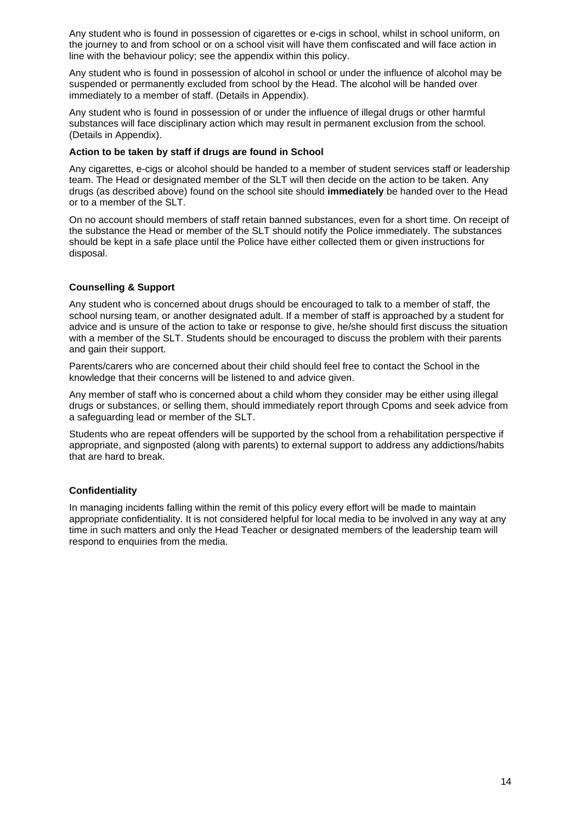Any student who is found in possession of cigarettes or e-cigs in school, whilst in school uniform, on the journey to and from school or on a school visit will have them confiscated and will face action in line with the behaviour policy; see the appendix within this policy.

Any student who is found in possession of alcohol in school or under the influence of alcohol may be suspended or permanently excluded from school by the Head. The alcohol will be handed over immediately to a member of staff. (Details in Appendix).

Any student who is found in possession of or under the influence of illegal drugs or other harmful substances will face disciplinary action which may result in permanent exclusion from the school. (Details in Appendix).

#### **Action to be taken by staff if drugs are found in School**

Any cigarettes, e-cigs or alcohol should be handed to a member of student services staff or leadership team. The Head or designated member of the SLT will then decide on the action to be taken. Any drugs (as described above) found on the school site should **immediately** be handed over to the Head or to a member of the SLT.

On no account should members of staff retain banned substances, even for a short time. On receipt of the substance the Head or member of the SLT should notify the Police immediately. The substances should be kept in a safe place until the Police have either collected them or given instructions for disposal.

### **Counselling & Support**

Any student who is concerned about drugs should be encouraged to talk to a member of staff, the school nursing team, or another designated adult. If a member of staff is approached by a student for advice and is unsure of the action to take or response to give, he/she should first discuss the situation with a member of the SLT. Students should be encouraged to discuss the problem with their parents and gain their support.

Parents/carers who are concerned about their child should feel free to contact the School in the knowledge that their concerns will be listened to and advice given.

Any member of staff who is concerned about a child whom they consider may be either using illegal drugs or substances, or selling them, should immediately report through Cpoms and seek advice from a safeguarding lead or member of the SLT.

Students who are repeat offenders will be supported by the school from a rehabilitation perspective if appropriate, and signposted (along with parents) to external support to address any addictions/habits that are hard to break.

#### **Confidentiality**

In managing incidents falling within the remit of this policy every effort will be made to maintain appropriate confidentiality. It is not considered helpful for local media to be involved in any way at any time in such matters and only the Head Teacher or designated members of the leadership team will respond to enquiries from the media.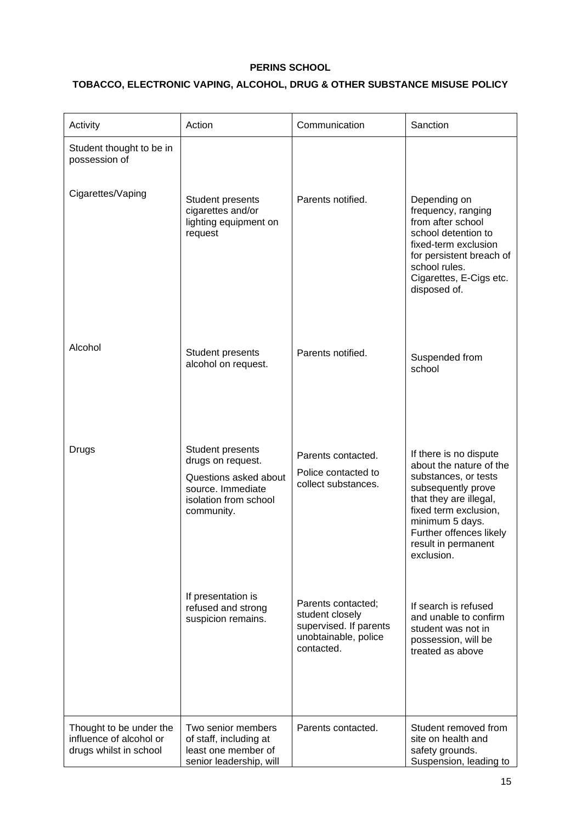### **PERINS SCHOOL**

### **TOBACCO, ELECTRONIC VAPING, ALCOHOL, DRUG & OTHER SUBSTANCE MISUSE POLICY**

| Activity                                                                     | Action                                                                                                                     | Communication                                                                                         | Sanction                                                                                                                                                                                                                              |
|------------------------------------------------------------------------------|----------------------------------------------------------------------------------------------------------------------------|-------------------------------------------------------------------------------------------------------|---------------------------------------------------------------------------------------------------------------------------------------------------------------------------------------------------------------------------------------|
| Student thought to be in<br>possession of                                    |                                                                                                                            |                                                                                                       |                                                                                                                                                                                                                                       |
| Cigarettes/Vaping                                                            | <b>Student presents</b><br>cigarettes and/or<br>lighting equipment on<br>request                                           | Parents notified.                                                                                     | Depending on<br>frequency, ranging<br>from after school<br>school detention to<br>fixed-term exclusion<br>for persistent breach of<br>school rules.<br>Cigarettes, E-Cigs etc.<br>disposed of.                                        |
| Alcohol                                                                      | Student presents<br>alcohol on request.                                                                                    | Parents notified.                                                                                     | Suspended from<br>school                                                                                                                                                                                                              |
| Drugs                                                                        | Student presents<br>drugs on request.<br>Questions asked about<br>source. Immediate<br>isolation from school<br>community. | Parents contacted.<br>Police contacted to<br>collect substances.                                      | If there is no dispute<br>about the nature of the<br>substances, or tests<br>subsequently prove<br>that they are illegal,<br>fixed term exclusion,<br>minimum 5 days.<br>Further offences likely<br>result in permanent<br>exclusion. |
|                                                                              | If presentation is<br>refused and strong<br>suspicion remains.                                                             | Parents contacted;<br>student closely<br>supervised. If parents<br>unobtainable, police<br>contacted. | If search is refused<br>and unable to confirm<br>student was not in<br>possession, will be<br>treated as above                                                                                                                        |
| Thought to be under the<br>influence of alcohol or<br>drugs whilst in school | Two senior members<br>of staff, including at<br>least one member of<br>senior leadership, will                             | Parents contacted.                                                                                    | Student removed from<br>site on health and<br>safety grounds.<br>Suspension, leading to                                                                                                                                               |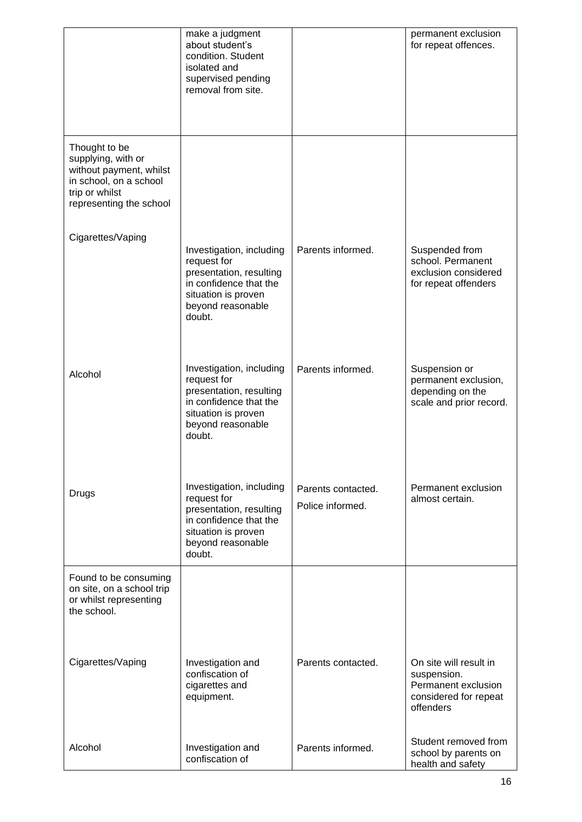|                                                                                                                                       | make a judgment<br>about student's<br>condition. Student<br>isolated and<br>supervised pending<br>removal from site.                               |                                        | permanent exclusion<br>for repeat offences.                                                        |
|---------------------------------------------------------------------------------------------------------------------------------------|----------------------------------------------------------------------------------------------------------------------------------------------------|----------------------------------------|----------------------------------------------------------------------------------------------------|
| Thought to be<br>supplying, with or<br>without payment, whilst<br>in school, on a school<br>trip or whilst<br>representing the school |                                                                                                                                                    |                                        |                                                                                                    |
| Cigarettes/Vaping                                                                                                                     | Investigation, including<br>request for<br>presentation, resulting<br>in confidence that the<br>situation is proven<br>beyond reasonable<br>doubt. | Parents informed.                      | Suspended from<br>school. Permanent<br>exclusion considered<br>for repeat offenders                |
| Alcohol                                                                                                                               | Investigation, including<br>request for<br>presentation, resulting<br>in confidence that the<br>situation is proven<br>beyond reasonable<br>doubt. | Parents informed.                      | Suspension or<br>permanent exclusion,<br>depending on the<br>scale and prior record.               |
| Drugs                                                                                                                                 | Investigation, including<br>request for<br>presentation, resulting<br>in confidence that the<br>situation is proven<br>beyond reasonable<br>doubt. | Parents contacted.<br>Police informed. | Permanent exclusion<br>almost certain.                                                             |
| Found to be consuming<br>on site, on a school trip<br>or whilst representing<br>the school.                                           |                                                                                                                                                    |                                        |                                                                                                    |
| Cigarettes/Vaping                                                                                                                     | Investigation and<br>confiscation of<br>cigarettes and<br>equipment.                                                                               | Parents contacted.                     | On site will result in<br>suspension.<br>Permanent exclusion<br>considered for repeat<br>offenders |
| Alcohol                                                                                                                               | Investigation and<br>confiscation of                                                                                                               | Parents informed.                      | Student removed from<br>school by parents on<br>health and safety                                  |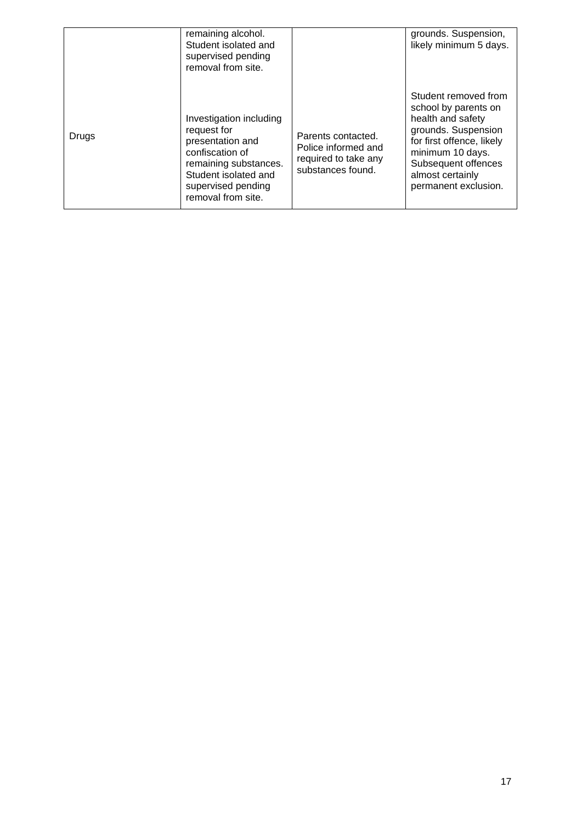|       | remaining alcohol.<br>Student isolated and<br>supervised pending<br>removal from site.                                                                                     |                                                                                        | grounds. Suspension,<br>likely minimum 5 days.                                                                                                                                                               |
|-------|----------------------------------------------------------------------------------------------------------------------------------------------------------------------------|----------------------------------------------------------------------------------------|--------------------------------------------------------------------------------------------------------------------------------------------------------------------------------------------------------------|
| Drugs | Investigation including<br>request for<br>presentation and<br>confiscation of<br>remaining substances.<br>Student isolated and<br>supervised pending<br>removal from site. | Parents contacted.<br>Police informed and<br>required to take any<br>substances found. | Student removed from<br>school by parents on<br>health and safety<br>grounds. Suspension<br>for first offence, likely<br>minimum 10 days.<br>Subsequent offences<br>almost certainly<br>permanent exclusion. |